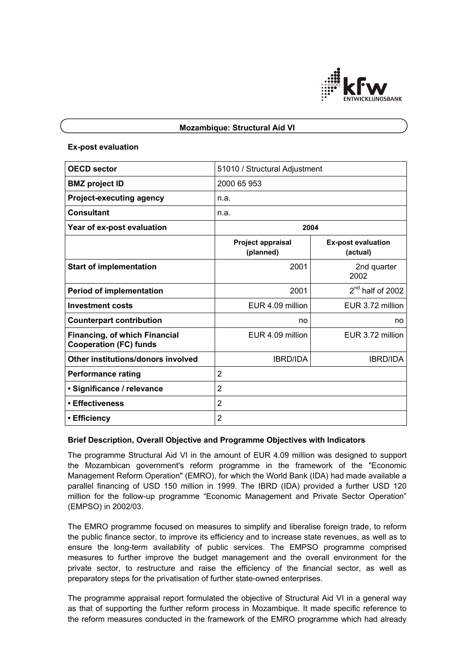

### **Mozambique: Structural Aid VI**

#### **Ex-post evaluation**

| <b>OECD</b> sector                                                    | 51010 / Structural Adjustment         |                                       |
|-----------------------------------------------------------------------|---------------------------------------|---------------------------------------|
| <b>BMZ</b> project ID                                                 | 2000 65 953                           |                                       |
| <b>Project-executing agency</b>                                       | n.a.                                  |                                       |
| <b>Consultant</b>                                                     | n.a.                                  |                                       |
| Year of ex-post evaluation                                            | 2004                                  |                                       |
|                                                                       | <b>Project appraisal</b><br>(planned) | <b>Ex-post evaluation</b><br>(actual) |
| <b>Start of implementation</b>                                        | 2001                                  | 2nd quarter<br>2002                   |
| <b>Period of implementation</b>                                       | 2001                                  | 2 <sup>nd</sup> half of 2002          |
| <b>Investment costs</b>                                               | EUR 4.09 million                      | EUR 3.72 million                      |
| <b>Counterpart contribution</b>                                       | no                                    | no                                    |
| <b>Financing, of which Financial</b><br><b>Cooperation (FC) funds</b> | EUR 4.09 million                      | EUR 3.72 million                      |
| Other institutions/donors involved                                    | <b>IBRD/IDA</b>                       | <b>IBRD/IDA</b>                       |
| <b>Performance rating</b>                                             | $\overline{2}$                        |                                       |
| · Significance / relevance                                            | $\overline{2}$                        |                                       |
| • Effectiveness                                                       | $\overline{2}$                        |                                       |
| • Efficiency                                                          | $\overline{2}$                        |                                       |

## **Brief Description, Overall Objective and Programme Objectives with Indicators**

The programme Structural Aid VI in the amount of EUR 4.09 million was designed to support the Mozambican government's reform programme in the framework of the "Economic Management Reform Operation" (EMRO), for which the World Bank (IDA) had made available a parallel financing of USD 150 million in 1999. The IBRD (IDA) provided a further USD 120 million for the follow-up programme "Economic Management and Private Sector Operation" (EMPSO) in 2002/03.

The EMRO programme focused on measures to simplify and liberalise foreign trade, to reform the public finance sector, to improve its efficiency and to increase state revenues, as well as to ensure the long-term availability of public services. The EMPSO programme comprised measures to further improve the budget management and the overall environment for the private sector, to restructure and raise the efficiency of the financial sector, as well as preparatory steps for the privatisation of further state-owned enterprises.

The programme appraisal report formulated the objective of Structural Aid VI in a general way as that of supporting the further reform process in Mozambique. It made specific reference to the reform measures conducted in the framework of the EMRO programme which had already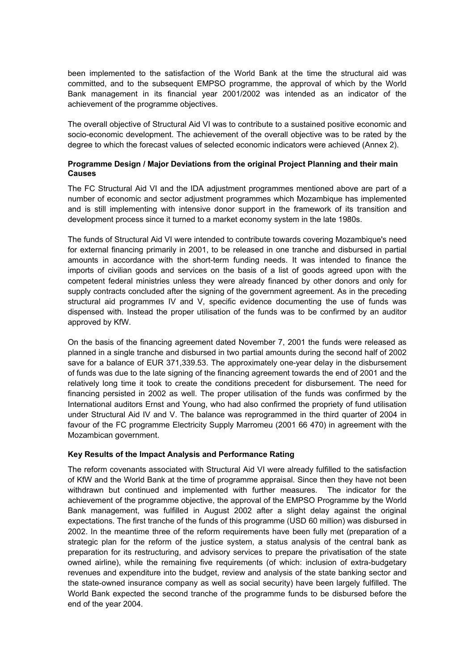been implemented to the satisfaction of the World Bank at the time the structural aid was committed, and to the subsequent EMPSO programme, the approval of which by the World Bank management in its financial year 2001/2002 was intended as an indicator of the achievement of the programme objectives.

The overall objective of Structural Aid VI was to contribute to a sustained positive economic and socio-economic development. The achievement of the overall objective was to be rated by the degree to which the forecast values of selected economic indicators were achieved (Annex 2).

# **Programme Design / Major Deviations from the original Project Planning and their main Causes**

The FC Structural Aid VI and the IDA adjustment programmes mentioned above are part of a number of economic and sector adjustment programmes which Mozambique has implemented and is still implementing with intensive donor support in the framework of its transition and development process since it turned to a market economy system in the late 1980s.

The funds of Structural Aid VI were intended to contribute towards covering Mozambique's need for external financing primarily in 2001, to be released in one tranche and disbursed in partial amounts in accordance with the short-term funding needs. It was intended to finance the imports of civilian goods and services on the basis of a list of goods agreed upon with the competent federal ministries unless they were already financed by other donors and only for supply contracts concluded after the signing of the government agreement. As in the preceding structural aid programmes IV and V, specific evidence documenting the use of funds was dispensed with. Instead the proper utilisation of the funds was to be confirmed by an auditor approved by KfW.

On the basis of the financing agreement dated November 7, 2001 the funds were released as planned in a single tranche and disbursed in two partial amounts during the second half of 2002 save for a balance of EUR 371,339.53. The approximately one-year delay in the disbursement of funds was due to the late signing of the financing agreement towards the end of 2001 and the relatively long time it took to create the conditions precedent for disbursement. The need for financing persisted in 2002 as well. The proper utilisation of the funds was confirmed by the International auditors Ernst and Young, who had also confirmed the propriety of fund utilisation under Structural Aid IV and V. The balance was reprogrammed in the third quarter of 2004 in favour of the FC programme Electricity Supply Marromeu (2001 66 470) in agreement with the Mozambican government.

## **Key Results of the Impact Analysis and Performance Rating**

The reform covenants associated with Structural Aid VI were already fulfilled to the satisfaction of KfW and the World Bank at the time of programme appraisal. Since then they have not been withdrawn but continued and implemented with further measures. The indicator for the achievement of the programme objective, the approval of the EMPSO Programme by the World Bank management, was fulfilled in August 2002 after a slight delay against the original expectations. The first tranche of the funds of this programme (USD 60 million) was disbursed in 2002. In the meantime three of the reform requirements have been fully met (preparation of a strategic plan for the reform of the justice system, a status analysis of the central bank as preparation for its restructuring, and advisory services to prepare the privatisation of the state owned airline), while the remaining five requirements (of which: inclusion of extra-budgetary revenues and expenditure into the budget, review and analysis of the state banking sector and the state-owned insurance company as well as social security) have been largely fulfilled. The World Bank expected the second tranche of the programme funds to be disbursed before the end of the year 2004.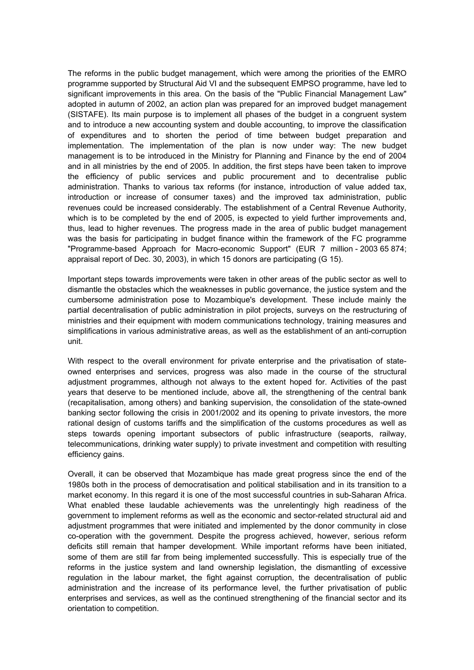The reforms in the public budget management, which were among the priorities of the EMRO programme supported by Structural Aid VI and the subsequent EMPSO programme, have led to significant improvements in this area. On the basis of the "Public Financial Management Law" adopted in autumn of 2002, an action plan was prepared for an improved budget management (SISTAFE). Its main purpose is to implement all phases of the budget in a congruent system and to introduce a new accounting system and double accounting, to improve the classification of expenditures and to shorten the period of time between budget preparation and implementation. The implementation of the plan is now under way: The new budget management is to be introduced in the Ministry for Planning and Finance by the end of 2004 and in all ministries by the end of 2005. In addition, the first steps have been taken to improve the efficiency of public services and public procurement and to decentralise public administration. Thanks to various tax reforms (for instance, introduction of value added tax, introduction or increase of consumer taxes) and the improved tax administration, public revenues could be increased considerably. The establishment of a Central Revenue Authority, which is to be completed by the end of 2005, is expected to yield further improvements and, thus, lead to higher revenues. The progress made in the area of public budget management was the basis for participating in budget finance within the framework of the FC programme "Programme-based Approach for Macro-economic Support" (EUR 7 million - 2003 65 874; appraisal report of Dec. 30, 2003), in which 15 donors are participating (G 15).

Important steps towards improvements were taken in other areas of the public sector as well to dismantle the obstacles which the weaknesses in public governance, the justice system and the cumbersome administration pose to Mozambique's development. These include mainly the partial decentralisation of public administration in pilot projects, surveys on the restructuring of ministries and their equipment with modern communications technology, training measures and simplifications in various administrative areas, as well as the establishment of an anti-corruption unit.

With respect to the overall environment for private enterprise and the privatisation of stateowned enterprises and services, progress was also made in the course of the structural adjustment programmes, although not always to the extent hoped for. Activities of the past years that deserve to be mentioned include, above all, the strengthening of the central bank (recapitalisation, among others) and banking supervision, the consolidation of the state-owned banking sector following the crisis in 2001/2002 and its opening to private investors, the more rational design of customs tariffs and the simplification of the customs procedures as well as steps towards opening important subsectors of public infrastructure (seaports, railway, telecommunications, drinking water supply) to private investment and competition with resulting efficiency gains.

Overall, it can be observed that Mozambique has made great progress since the end of the 1980s both in the process of democratisation and political stabilisation and in its transition to a market economy. In this regard it is one of the most successful countries in sub-Saharan Africa. What enabled these laudable achievements was the unrelentingly high readiness of the government to implement reforms as well as the economic and sector-related structural aid and adjustment programmes that were initiated and implemented by the donor community in close co-operation with the government. Despite the progress achieved, however, serious reform deficits still remain that hamper development. While important reforms have been initiated, some of them are still far from being implemented successfully. This is especially true of the reforms in the justice system and land ownership legislation, the dismantling of excessive regulation in the labour market, the fight against corruption, the decentralisation of public administration and the increase of its performance level, the further privatisation of public enterprises and services, as well as the continued strengthening of the financial sector and its orientation to competition.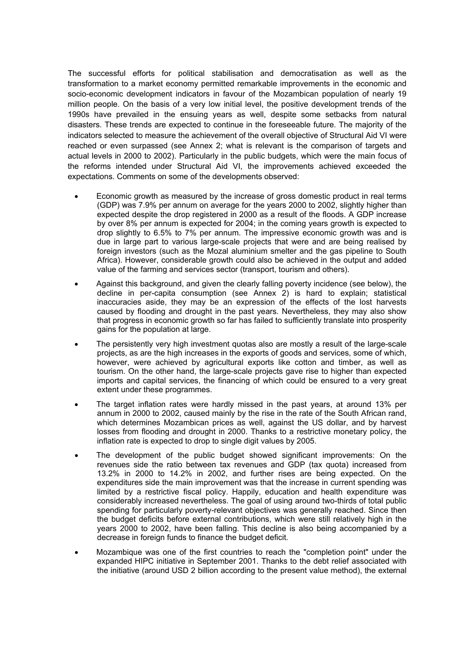The successful efforts for political stabilisation and democratisation as well as the transformation to a market economy permitted remarkable improvements in the economic and socio-economic development indicators in favour of the Mozambican population of nearly 19 million people. On the basis of a very low initial level, the positive development trends of the 1990s have prevailed in the ensuing years as well, despite some setbacks from natural disasters. These trends are expected to continue in the foreseeable future. The majority of the indicators selected to measure the achievement of the overall objective of Structural Aid VI were reached or even surpassed (see Annex 2; what is relevant is the comparison of targets and actual levels in 2000 to 2002). Particularly in the public budgets, which were the main focus of the reforms intended under Structural Aid VI, the improvements achieved exceeded the expectations. Comments on some of the developments observed:

- Economic growth as measured by the increase of gross domestic product in real terms (GDP) was 7.9% per annum on average for the years 2000 to 2002, slightly higher than expected despite the drop registered in 2000 as a result of the floods. A GDP increase by over 8% per annum is expected for 2004; in the coming years growth is expected to drop slightly to 6.5% to 7% per annum. The impressive economic growth was and is due in large part to various large-scale projects that were and are being realised by foreign investors (such as the Mozal aluminium smelter and the gas pipeline to South Africa). However, considerable growth could also be achieved in the output and added value of the farming and services sector (transport, tourism and others).
- Against this background, and given the clearly falling poverty incidence (see below), the decline in per-capita consumption (see Annex 2) is hard to explain; statistical inaccuracies aside, they may be an expression of the effects of the lost harvests caused by flooding and drought in the past years. Nevertheless, they may also show that progress in economic growth so far has failed to sufficiently translate into prosperity gains for the population at large.
- The persistently very high investment quotas also are mostly a result of the large-scale projects, as are the high increases in the exports of goods and services, some of which, however, were achieved by agricultural exports like cotton and timber, as well as tourism. On the other hand, the large-scale projects gave rise to higher than expected imports and capital services, the financing of which could be ensured to a very great extent under these programmes.
- The target inflation rates were hardly missed in the past years, at around 13% per annum in 2000 to 2002, caused mainly by the rise in the rate of the South African rand, which determines Mozambican prices as well, against the US dollar, and by harvest losses from flooding and drought in 2000. Thanks to a restrictive monetary policy, the inflation rate is expected to drop to single digit values by 2005.
- The development of the public budget showed significant improvements: On the revenues side the ratio between tax revenues and GDP (tax quota) increased from 13.2% in 2000 to 14.2% in 2002, and further rises are being expected. On the expenditures side the main improvement was that the increase in current spending was limited by a restrictive fiscal policy. Happily, education and health expenditure was considerably increased nevertheless. The goal of using around two-thirds of total public spending for particularly poverty-relevant objectives was generally reached. Since then the budget deficits before external contributions, which were still relatively high in the years 2000 to 2002, have been falling. This decline is also being accompanied by a decrease in foreign funds to finance the budget deficit.
- Mozambique was one of the first countries to reach the "completion point" under the expanded HIPC initiative in September 2001. Thanks to the debt relief associated with the initiative (around USD 2 billion according to the present value method), the external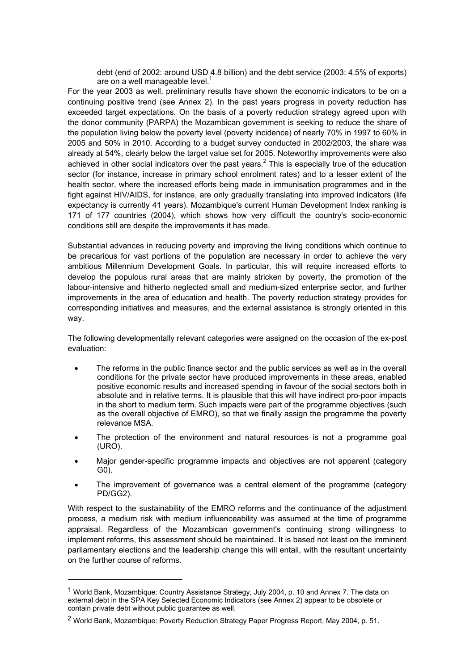debt (end of 2002: around USD 4.8 billion) and the debt service (2003: 4.5% of exports) are on a well manageable level.<sup>1</sup>

For the year 2003 as well, preliminary results have shown the economic indicators to be on a continuing positive trend (see Annex 2). In the past years progress in poverty reduction has exceeded target expectations. On the basis of a poverty reduction strategy agreed upon with the donor community (PARPA) the Mozambican government is seeking to reduce the share of the population living below the poverty level (poverty incidence) of nearly 70% in 1997 to 60% in 2005 and 50% in 2010. According to a budget survey conducted in 2002/2003, the share was already at 54%, clearly below the target value set for 2005. Noteworthy improvements were also achieved in other social indicators over the past years.<sup>2</sup> This is especially true of the education sector (for instance, increase in primary school enrolment rates) and to a lesser extent of the health sector, where the increased efforts being made in immunisation programmes and in the fight against HIV/AIDS, for instance, are only gradually translating into improved indicators (life expectancy is currently 41 years). Mozambique's current Human Development Index ranking is 171 of 177 countries (2004), which shows how very difficult the country's socio-economic conditions still are despite the improvements it has made.

Substantial advances in reducing poverty and improving the living conditions which continue to be precarious for vast portions of the population are necessary in order to achieve the very ambitious Millennium Development Goals. In particular, this will require increased efforts to develop the populous rural areas that are mainly stricken by poverty, the promotion of the labour-intensive and hitherto neglected small and medium-sized enterprise sector, and further improvements in the area of education and health. The poverty reduction strategy provides for corresponding initiatives and measures, and the external assistance is strongly oriented in this way.

The following developmentally relevant categories were assigned on the occasion of the ex-post evaluation:

- The reforms in the public finance sector and the public services as well as in the overall conditions for the private sector have produced improvements in these areas, enabled positive economic results and increased spending in favour of the social sectors both in absolute and in relative terms. It is plausible that this will have indirect pro-poor impacts in the short to medium term. Such impacts were part of the programme objectives (such as the overall objective of EMRO), so that we finally assign the programme the poverty relevance MSA.
- The protection of the environment and natural resources is not a programme goal (URO).
- Major gender-specific programme impacts and objectives are not apparent (category G0).
- The improvement of governance was a central element of the programme (category PD/GG2).

With respect to the sustainability of the EMRO reforms and the continuance of the adjustment process, a medium risk with medium influenceability was assumed at the time of programme appraisal. Regardless of the Mozambican government's continuing strong willingness to implement reforms, this assessment should be maintained. It is based not least on the imminent parliamentary elections and the leadership change this will entail, with the resultant uncertainty on the further course of reforms.

 $\overline{a}$ 

<sup>1</sup> World Bank, Mozambique: Country Assistance Strategy, July 2004, p. 10 and Annex 7. The data on external debt in the SPA Key Selected Economic Indicators (see Annex 2) appear to be obsolete or contain private debt without public guarantee as well.

<sup>&</sup>lt;sup>2</sup> World Bank, Mozambique: Poverty Reduction Strategy Paper Progress Report, May 2004, p. 51.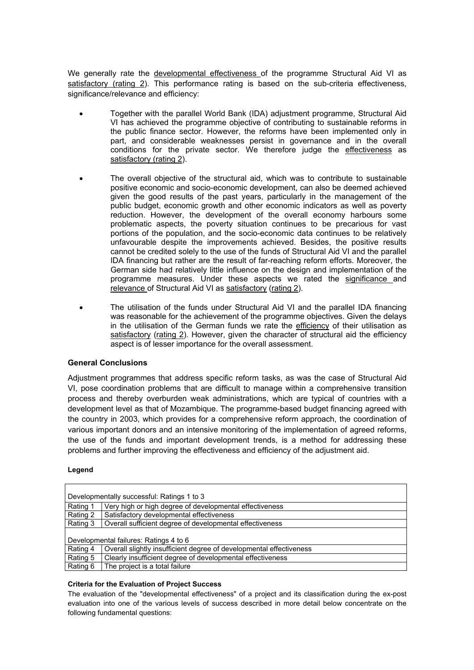We generally rate the developmental effectiveness of the programme Structural Aid VI as satisfactory (rating 2). This performance rating is based on the sub-criteria effectiveness, significance/relevance and efficiency:

- Together with the parallel World Bank (IDA) adjustment programme, Structural Aid VI has achieved the programme objective of contributing to sustainable reforms in the public finance sector. However, the reforms have been implemented only in part, and considerable weaknesses persist in governance and in the overall conditions for the private sector. We therefore judge the effectiveness as satisfactory (rating 2).
- The overall objective of the structural aid, which was to contribute to sustainable positive economic and socio-economic development, can also be deemed achieved given the good results of the past years, particularly in the management of the public budget, economic growth and other economic indicators as well as poverty reduction. However, the development of the overall economy harbours some problematic aspects, the poverty situation continues to be precarious for vast portions of the population, and the socio-economic data continues to be relatively unfavourable despite the improvements achieved. Besides, the positive results cannot be credited solely to the use of the funds of Structural Aid VI and the parallel IDA financing but rather are the result of far-reaching reform efforts. Moreover, the German side had relatively little influence on the design and implementation of the programme measures. Under these aspects we rated the significance and relevance of Structural Aid VI as satisfactory (rating 2).
- The utilisation of the funds under Structural Aid VI and the parallel IDA financing was reasonable for the achievement of the programme objectives. Given the delays in the utilisation of the German funds we rate the efficiency of their utilisation as satisfactory (rating 2). However, given the character of structural aid the efficiency aspect is of lesser importance for the overall assessment.

### **General Conclusions**

Adjustment programmes that address specific reform tasks, as was the case of Structural Aid VI, pose coordination problems that are difficult to manage within a comprehensive transition process and thereby overburden weak administrations, which are typical of countries with a development level as that of Mozambique. The programme-based budget financing agreed with the country in 2003, which provides for a comprehensive reform approach, the coordination of various important donors and an intensive monitoring of the implementation of agreed reforms, the use of the funds and important development trends, is a method for addressing these problems and further improving the effectiveness and efficiency of the adjustment aid.

#### **Legend**

| Developmentally successful: Ratings 1 to 3 |                                                                     |  |
|--------------------------------------------|---------------------------------------------------------------------|--|
| Rating 1                                   | Very high or high degree of developmental effectiveness             |  |
| Rating 2                                   | Satisfactory developmental effectiveness                            |  |
| Rating 3                                   | Overall sufficient degree of developmental effectiveness            |  |
| Developmental failures: Ratings 4 to 6     |                                                                     |  |
|                                            |                                                                     |  |
| Rating 4                                   | Overall slightly insufficient degree of developmental effectiveness |  |
| Rating 5                                   | Clearly insufficient degree of developmental effectiveness          |  |
| Rating 6                                   | The project is a total failure                                      |  |

#### **Criteria for the Evaluation of Project Success**

The evaluation of the "developmental effectiveness" of a project and its classification during the ex-post evaluation into one of the various levels of success described in more detail below concentrate on the following fundamental questions: